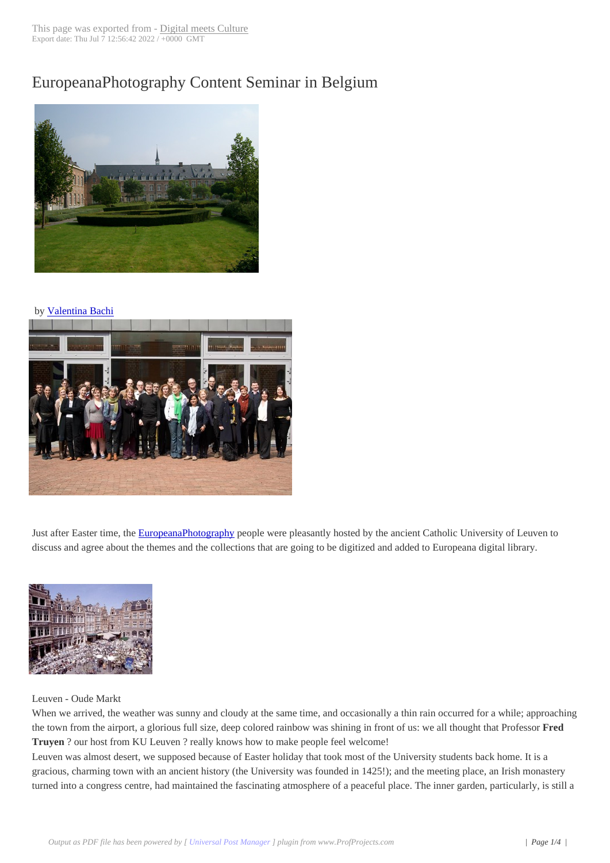## EuropeanaPhotogr[aphy Content S](http://www.digitalmeetsculture.net/?p=7587)eminar in Belgium



## by Valentina Bachi



[Just after Easter time, the EuropeanaPhotography people were p](http://www.digitalmeetsculture.net/wp-content/uploads/2012/05/The-group.jpg)leasantly hosted by the ancient Catholic University of Leuven to discuss and agree about the themes and the collections that are going to be digitized and added to Europeana digital library.



Leuven - Oude Markt

[When we arrived, the weathe](http://www.digitalmeetsculture.net/wp-content/uploads/2012/05/leuven.jpg)r was sunny and cloudy at the same time, and occasionally a thin rain occurred for a while; approaching the town from the airport, a glorious full size, deep colored rainbow was shining in front of us: we all thought that Professor **Fred Truyen** ? our host from KU Leuven ? really knows how to make people feel welcome!

Leuven was almost desert, we supposed because of Easter holiday that took most of the University students back home. It is a gracious, charming town with an ancient history (the University was founded in 1425!); and the meeting place, an Irish monastery turned into a congress centre, had maintained the fascinating atmosphere of a peaceful place. The inner garden, particularly, is still a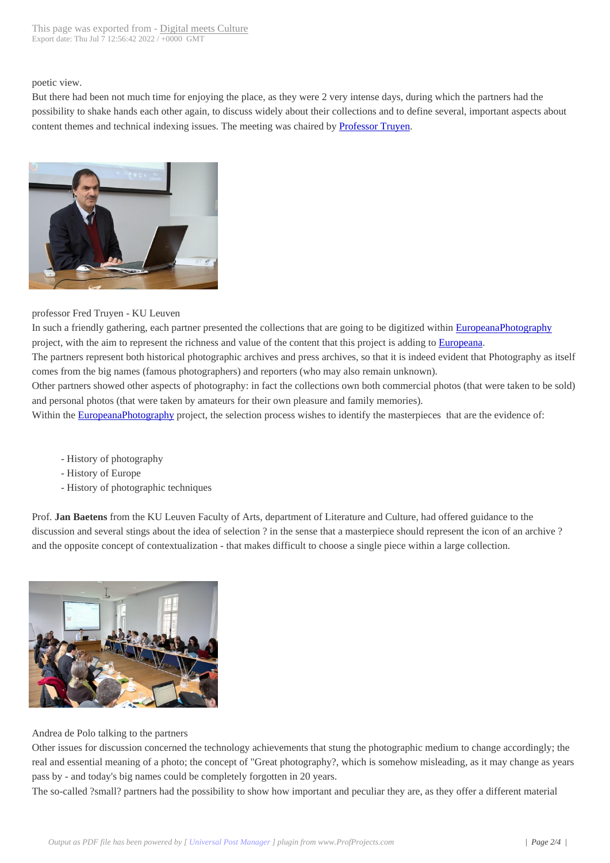## poetic view.

But there had been not much time for enjoying the place, as they were 2 very intense days, during which the partners had the possibility to shake hands each other again, to discuss widely about their collections and to define several, important aspects about content themes and technical indexing issues. The meeting was chaired by **Professor Truyen**.



professor Fred Truyen - KU Leuven

[In such a friendly gathering, each partner pres](http://www.digitalmeetsculture.net/wp-content/uploads/2012/05/professor-Fred-Truyen.jpg)ented the collections that are going to be digitized within EuropeanaPhotography project, with the aim to represent the richness and value of the content that this project is adding to Europeana.

The partners represent both historical photographic archives and press archives, so that it is indeed evident that Photography as itself comes from the big names (famous photographers) and reporters (who may also remain unknown).

Other partners showed other aspects of photography: in fact the collections own both commercial [photos \(that](http://www.digitalmeetsculture.net/tag/europeana/) [were taken to be](http://www.digitalmeetsculture.net/heritage-showcases/page-2/) sold) and personal photos (that were taken by amateurs for their own pleasure and family memories).

Within the **EuropeanaPhotography** project, the selection process wishes to identify the masterpieces that are the evidence of:

- Hi[story of photography](http://www.digitalmeetsculture.net/heritage-showcases/page-2/)
- History of Europe
- History of photographic techniques

Prof. **Jan Baetens** from the KU Leuven Faculty of Arts, department of Literature and Culture, had offered guidance to the discussion and several stings about the idea of selection ? in the sense that a masterpiece should represent the icon of an archive ? and the opposite concept of contextualization - that makes difficult to choose a single piece within a large collection.



Andrea de Polo talking to the partners

[Other issues for discussion concerned the tech](http://www.digitalmeetsculture.net/wp-content/uploads/2012/05/Andrea-de-Polo.jpg)nology achievements that stung the photographic medium to change accordingly; the real and essential meaning of a photo; the concept of "Great photography?, which is somehow misleading, as it may change as years pass by - and today's big names could be completely forgotten in 20 years.

The so-called ?small? partners had the possibility to show how important and peculiar they are, as they offer a different material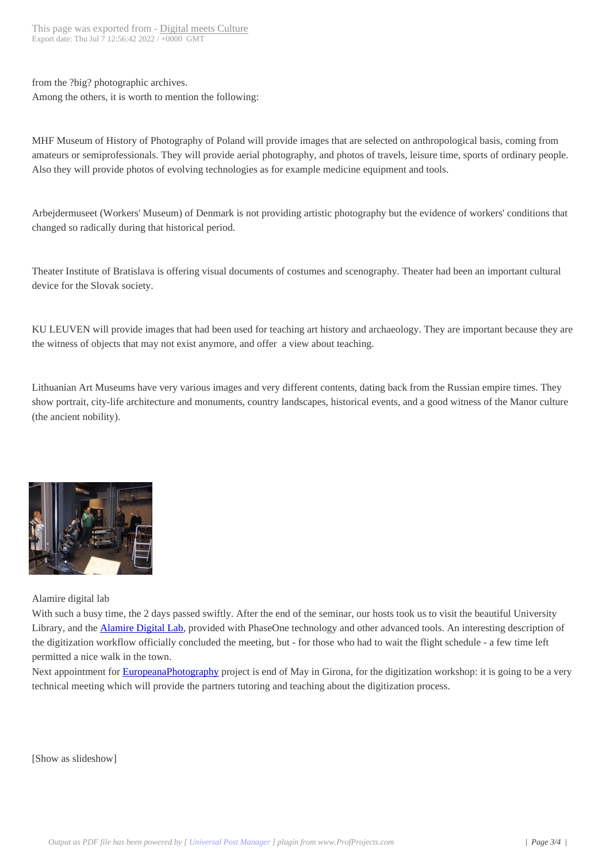from the ?big? photographic ar[chives.](http://www.digitalmeetsculture.net/?p=7587) Among the others, it is worth to mention the following:

 MHF Museum of History of Photography of Poland will provide images that are selected on anthropological basis, coming from amateurs or semiprofessionals. They will provide aerial photography, and photos of travels, leisure time, sports of ordinary people. Also they will provide photos of evolving technologies as for example medicine equipment and tools.

 Arbejdermuseet (Workers' Museum) of Denmark is not providing artistic photography but the evidence of workers' conditions that changed so radically during that historical period.

 Theater Institute of Bratislava is offering visual documents of costumes and scenography. Theater had been an important cultural device for the Slovak society.

 KU LEUVEN will provide images that had been used for teaching art history and archaeology. They are important because they are the witness of objects that may not exist anymore, and offer a view about teaching.

 Lithuanian Art Museums have very various images and very different contents, dating back from the Russian empire times. They show portrait, city-life architecture and monuments, country landscapes, historical events, and a good witness of the Manor culture (the ancient nobility).



Alamire digital lab

[With such a busy time, the 2 d](http://www.digitalmeetsculture.net/wp-content/uploads/2012/05/Alamire-digital-lab.jpg)ays passed swiftly. After the end of the seminar, our hosts took us to visit the beautiful University Library, and the **Alamire Digital Lab**, provided with PhaseOne technology and other advanced tools. An interesting description of the digitization workflow officially concluded the meeting, but - for those who had to wait the flight schedule - a few time left permitted a nice walk in the town.

Next appointment for EuropeanaPhotography project is end of May in Girona, for the digitization workshop: it is going to be a very technical meetin[g which will provide](http://www.digitalmeetsculture.net/tag/alamire-digital-lab/) the partners tutoring and teaching about the digitization process.

 [Show as slideshow]